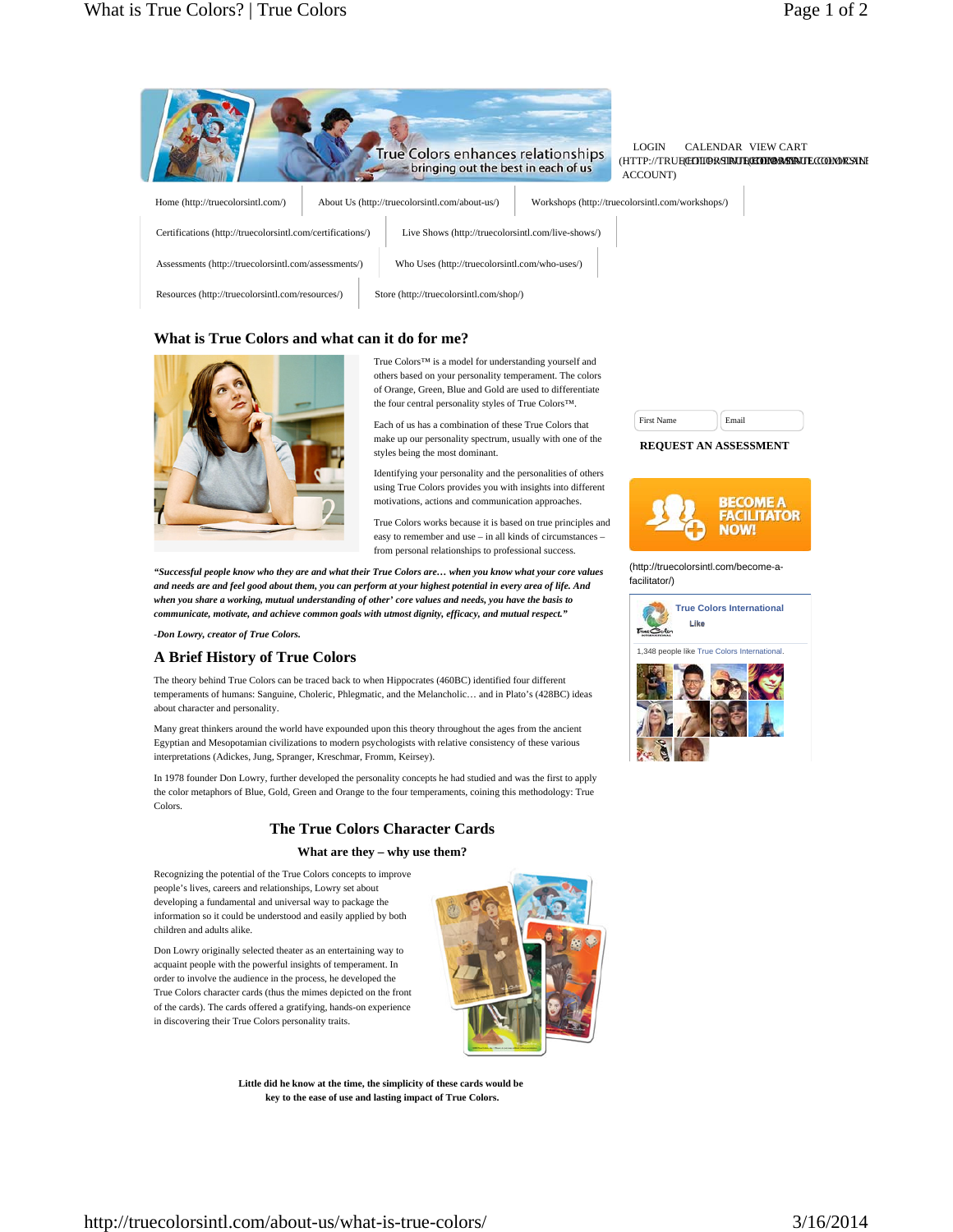|                                                            | <b>True Colors enhances relationships</b><br>bringing out the best in each of us |                                                  | <b>LOGIN</b><br>ACCOUNT) | CALENDAR VIEW CART<br>(HTTP://TRUECEDIDORSIRUECEDDORSIRUECCOMORSANE |
|------------------------------------------------------------|----------------------------------------------------------------------------------|--------------------------------------------------|--------------------------|---------------------------------------------------------------------|
| Home (http://truecolorsintl.com/)                          | About Us (http://truecolorsintl.com/about-us/)                                   | Workshops (http://truecolorsintl.com/workshops/) |                          |                                                                     |
| Certifications (http://truecolorsintl.com/certifications/) | Live Shows (http://truecolorsintl.com/live-shows/)                               |                                                  |                          |                                                                     |
| Assessments (http://truecolorsintl.com/assessments/)       | Who Uses (http://truecolorsintl.com/who-uses/)                                   |                                                  |                          |                                                                     |
| Resources (http://truecolorsintl.com/resources/)           | Store (http://truecolorsintl.com/shop/)                                          |                                                  |                          |                                                                     |

## **What is True Colors and what can it do for me?**



True Colors™ is a model for understanding yourself and others based on your personality temperament. The colors of Orange, Green, Blue and Gold are used to differentiate the four central personality styles of True Colors™.

Each of us has a combination of these True Colors that make up our personality spectrum, usually with one of the styles being the most dominant.

Identifying your personality and the personalities of others using True Colors provides you with insights into different motivations, actions and communication approaches.

True Colors works because it is based on true principles and easy to remember and use – in all kinds of circumstances – from personal relationships to professional success.

*"Successful people know who they are and what their True Colors are… when you know what your core values and needs are and feel good about them, you can perform at your highest potential in every area of life. And when you share a working, mutual understanding of other' core values and needs, you have the basis to communicate, motivate, and achieve common goals with utmost dignity, efficacy, and mutual respect."*

*-Don Lowry, creator of True Colors.*

### **A Brief History of True Colors**

The theory behind True Colors can be traced back to when Hippocrates (460BC) identified four different temperaments of humans: Sanguine, Choleric, Phlegmatic, and the Melancholic… and in Plato's (428BC) ideas about character and personality.

Many great thinkers around the world have expounded upon this theory throughout the ages from the ancient Egyptian and Mesopotamian civilizations to modern psychologists with relative consistency of these various interpretations (Adickes, Jung, Spranger, Kreschmar, Fromm, Keirsey).

In 1978 founder Don Lowry, further developed the personality concepts he had studied and was the first to apply the color metaphors of Blue, Gold, Green and Orange to the four temperaments, coining this methodology: True Colors.

# **The True Colors Character Cards**

**What are they – why use them?**

Recognizing the potential of the True Colors concepts to improve people's lives, careers and relationships, Lowry set about developing a fundamental and universal way to package the information so it could be understood and easily applied by both children and adults alike.

Don Lowry originally selected theater as an entertaining way to acquaint people with the powerful insights of temperament. In order to involve the audience in the process, he developed the True Colors character cards (thus the mimes depicted on the front of the cards). The cards offered a gratifying, hands-on experience in discovering their True Colors personality traits.



**Little did he know at the time, the simplicity of these cards would be key to the ease of use and lasting impact of True Colors.**

| <b>First Name</b> |  |
|-------------------|--|
|                   |  |

#### **REQUEST AN ASSESSMENT**



(http://truecolorsintl.com/become-afacilitator/)